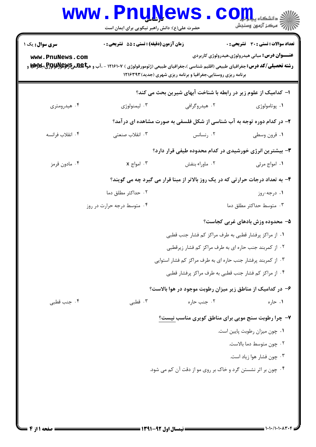### **www.PnuNews.com** ر کا درکز آزمون وسنجش (عدد الله عدد الله عدد الله عدد الله عدد الله عدد الله عدد الله عدد الله عدد ا حضرت علی(ع): دانش راهبر نیکویی برای ایمان است **تعداد سوالات : تستي : 30 ٪ تشريحي : 0 سری سوال :** یک ۱ زمان آزمون (دقيقه) : تستى ; 55 ٪ تشريحي ; . **عنـــوان درس:** مباني هيدرولوژي،هيدرولوژي کاربردي www.PnuNews.com **رشته تحصیلی/کد درس:** جغرافیای طبیعی (اقلیم شناسی )،جغرافیای طبیعی (ژئومورفولوژی ) ۱۲۱۶۱۰۷ - ،آب و هو**تا REپرEپDپوتوتوتوتوتوتوتو** بکلا

برنامه ریزی روستایی،جغرافیا و برنامه ریزی شهری (جدید) ۱۲۱۶۳۹۳

ا– کدامیک از علوم زیر در رابطه با شناخت آبهای شیرین بحث می کند؟ ۰۴ هیدرومتری ۰۳ لېمنولوژي ۰۲ هید,وگرافی ۰۱ يوتامولوژي ۲- در کدام دوره توجه به آب شناسی از شکل فلسفی به صورت مشاهده ای درآمد؟ ۰۴ انقلاب فرانسه ۰۳ انقلاب صنعت<u>ی</u> ۰۲ رنسانس ۰۱ قرون وسطی **۳**- بیشترین انرژی خورشیدی در کدام محدوده طیفی قرار دارد؟ ۰۴ مادون قرمز  $x \rightarrow 0$ امواج  $x$ ۰۲ ماوراء بنفش ۰۱ امواج مرئی ۴- به تعداد درجات حرارتی که در یک روز بالاتر از مبنا قرار می گیرد چه می گویند؟ ۰۲ حداکثر مطلق دما ۰۱ درجه-روز ۰۴ متوسط درجه حرارت در روز ۰۳ متوسط حداکثر مطلق دما ۵- محدوده وزش بادهای غربی کجاست؟ ٠١. از مراكز پرفشار قطبي به طرف مراكز كم فشار جنب قطبي ۲. از کمربند جنب حاره ای به طرف مراکز کم فشار زیرقطبی ۰۳ از کمربند پرفشار جنب حاره ای به طرف مراکز کم فشار استوایی ۰۴ از مراکز کم فشار جنب قطبی به طرف مراکز پرفشار قطبی

## ۶– در کدامیک از مناطق زیر میزان رطوبت موجود در هوا بالاست؟

### ۰۳ قطبی ۰۴ جنب قطبی ۰۲ جنب حاره ۰۱ حا, ه

### ۷- چرا رطوبت سنج مویی برای مناطق کویری مناسب نیست؟

- ٠١ چون ميزان رطوبت پايين است.
	- ٠٢ چون متوسط دما بالاست.
	- ۰۳ چون فشار هوا زیاد است.
- ۰۴ چون بر اثر نشستن گرد و خاک بر روی مو از دقت آن کم می شود.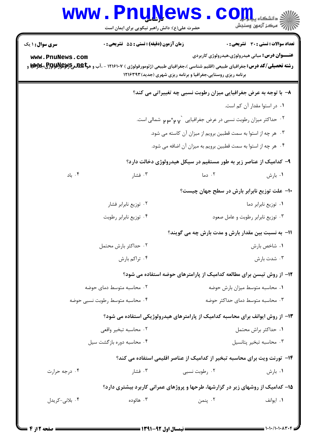# Www.PnuNews.com

حضرت علی(ع): دانش راهبر نیکویی برای ایمان است

| <b>سری سوال : ۱ یک</b>                                                       | <b>زمان آزمون (دقیقه) : تستی : 55 تشریحی : 0</b>                                                                                             |                                                               | <b>تعداد سوالات : تستی : 30 ٪ تشریحی : 0</b>    |  |
|------------------------------------------------------------------------------|----------------------------------------------------------------------------------------------------------------------------------------------|---------------------------------------------------------------|-------------------------------------------------|--|
| www.PnuNews.com                                                              |                                                                                                                                              |                                                               | عنـــوان درس: مبانی هیدرولوژی،هیدرولوژی کاربردی |  |
|                                                                              | <b>رشته تحصیلی/کد درس:</b> جغرافیای طبیعی (اقلیم شناسی )،جغرافیای طبیعی (ژئومورفولوژی ) ۱۲۱۶۱۰۷ - ،آب و هو <b>P.By و P.By و @Byy و</b> اقلیم | برنامه ریزی روستایی،جغرافیا و برنامه ریزی شهری (جدید) ۱۲۱۶۳۹۳ |                                                 |  |
|                                                                              |                                                                                                                                              |                                                               |                                                 |  |
| ۸- با توجه به عرض جغرافیایی میزان رطوبت نسبی چه تغییراتی می کند؟             |                                                                                                                                              |                                                               |                                                 |  |
|                                                                              |                                                                                                                                              |                                                               | ۰۱ در استوا مقدار آن کم است.                    |  |
| ۰۲ حداکثر میزان رطوبت نسبی در عرض جغرافیایی ` <sub>۷ ۳</sub> ۰ م میمالی است. |                                                                                                                                              |                                                               |                                                 |  |
| ۰۳ هر چه از استوا به سمت قطبین برویم از میزان آن کاسته می شود.               |                                                                                                                                              |                                                               |                                                 |  |
| ۰۴ هر چه از استوا به سمت قطبین برویم به میزان آن اضافه می شود.               |                                                                                                                                              |                                                               |                                                 |  |
| ۹- کدامیک از عناصر زیر به طور مستقیم در سیکل هیدرولوژی دخالت دارد؟           |                                                                                                                                              |                                                               |                                                 |  |
| ۰۴ باد                                                                       | ۰۳ فشار                                                                                                                                      | ۰۲ دما                                                        | ۰۱ بارش                                         |  |
|                                                                              |                                                                                                                                              |                                                               | ۱۰– علت توزیع نابرابر بارش در سطح جهان چیست؟    |  |
| ۰۲ توزیع نابرابر فشار                                                        |                                                                                                                                              |                                                               | ٠١ توزيع نابرابر دما                            |  |
| ۰۴ توزیع نابرابر رطوبت                                                       |                                                                                                                                              |                                                               | ۰۳ توزیع نابرابر رطوبت و عامل صعود              |  |
| 1۱- به نسبت بین مقدار بارش و مدت بارش چه می گویند؟                           |                                                                                                                                              |                                                               |                                                 |  |
|                                                                              | ۰۲ حداکثر بارش محتمل                                                                                                                         |                                                               | ٠١ شاخص بارش                                    |  |
| ۰۴ تراكم بارش                                                                |                                                                                                                                              |                                                               | ۰۳ شدت بارش                                     |  |
| ۱۲- از روش تیسن برای مطالعه کدامیک از پارامترهای حوضه استفاده می شود؟        |                                                                                                                                              |                                                               |                                                 |  |
|                                                                              | ۰۲ محاسبه متوسط دمای حوضه<br>٠١ محاسبه متوسط ميزان بارش حوضه                                                                                 |                                                               |                                                 |  |
|                                                                              | ۰۴ محاسبه متوسط رطوبت نسبي حوضه                                                                                                              | ۰۳ محاسبه متوسط دمای حداکثر حوضه                              |                                                 |  |
|                                                                              | ۱۳- از روش ایوانف برای محاسبه کدامیک از پارامترهای هیدرولوژیکی استفاده می شود؟                                                               |                                                               |                                                 |  |
|                                                                              | ٠٢ محاسبه تبخير واقعى                                                                                                                        |                                                               | ٠١ حداكثر براش محتمل                            |  |
| ۰۴ محاسبه دوره بازگشت سیل                                                    |                                                                                                                                              |                                                               | ۰۳ محاسبه تبخير پتانسيل                         |  |
|                                                                              | ۱۴- تورنت ویت برای محاسبه تبخیر از کدامیک از عناصر اقلیمی استفاده می کند؟                                                                    |                                                               |                                                 |  |
| ۰۴ درجه حرارت                                                                | ۰۳ فشار                                                                                                                                      | ۰۲ رطوبت نسبی                                                 | ۰۱ بارش                                         |  |
|                                                                              | ۱۵– کدامیک از روشهای زیر در گزارشها، طرحها و پروژهای عمرانی کاربرد بیشتری دارد؟                                                              |                                                               |                                                 |  |
| ۰۴ بلانی-کریدل                                                               | ۰۳ هائوده                                                                                                                                    | ۰۲ پنمن                                                       | ۰۱ ایوانف                                       |  |
|                                                                              |                                                                                                                                              |                                                               |                                                 |  |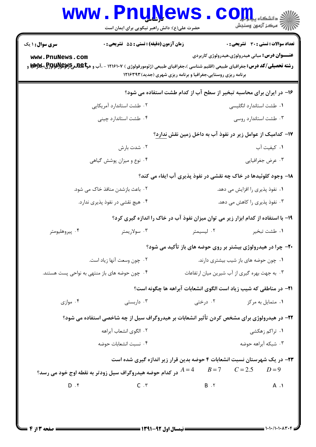# **www.PnuNews.com** حضرت علی(ع): دانش راهبر نیکویی برای ایمان است **تعداد سوالات : تستي : 30 ٪ تشريحي : 0 سری سوال : ۱ یک** زمان آزمون (دقيقه) : تستى ; 55 ٪ تشريحي ; . **عنـــوان درس:** مباني هيدرولوژي،هيدرولوژي کاربردي www.PnuNews.com **رشته تحصیلی/کد درس:** جغرافیای طبیعی (اقلیم شناسی )،جغرافیای طبیعی (ژئومورفولوژی ) ۱۲۱۶۱۰۷ - ،آب و هو**تا REپرEپDپوتوتوتوتوتوتو** بکلا برنامه ریزی روستایی،جغرافیا و برنامه ریزی شهری (جدید) ۱۲۱۶۳۹۳ ۱۶- در ایران برای محاسبه تبخیر از سطح آب از کدام طشت استفاده می شود؟ ۰۲ طشت استاندا, د آمریکایی ٠١ طشت استاندارد انگليسي ۰۴ طشت استاندار د چینی ۰۳ طشت استاندارد روسی ۱۷– کدامیک از عوامل زیر در نفوذ آب به داخل زمین نقش ندارد؟ ۰۲ شدت بارش ۰۱ کیفیت آب ۰۴ نوع و میزان پوشش گیاهی ۰۳ عرض جغرافیایی ۱۸- وجود کلوئیدها در خاک چه نقشی در نفوذ پذیری آب ایفاء می کند؟ ۰۲ باعث بازشدن منافذ خاک مے، شود. ۰۱ نفوذ پذیری ,ا افزایش مے ،دھد. ۰۳ نفوذ پذیری را کاهش می دهد. ۰۴ هیچ نقشی در نفوذ پذیری ندارد. ۱۹- با استفاده از کدام ابزار زیر می توان میزان نفوذ آب در خاک را اندازه گیری کرد؟ ۰۲ لیسیمتر ۰۴ پیروهلیومتر ۰۳ سولاریمتر ٠١. طشت تبخير ۲۰- چرا در هیدرولوژی بیشتر بر روی حوضه های باز تأکید می شود؟ ۰۱ چون حوضه های باز شیب بیشتری دارند. ۰۲ چون وسعت آنها زیاد است. ۰۳ به جهت بهره گیری از آب شیرین میان ارتفاعات ۰۴ چون حوضه های باز منتهی به نواحی پست هستند. **۲۱**- در مناطقی که شیب زیاد است الگوی انشعابات آبراهه ها چگونه است؟ ۰۴ موازی ۰۳ داربستی ۰۱ متمایل به مرکز مسلسل ۲۰ درختی ۲۲- در هیدرولوژی برای مشخص کردن تأثیر انشعابات بر هیدروگراف سیل از چه شاخصی استفاده می شود؟ ٢. الگوى انشعاب آبراهه ۰۱ تراکم زهکشی ۰۳ شیکه آبراهه حوضه ۰۴ نسبت انشعابات حوضه ۲۳- در یک شهرستان نسبت انشعابات ۴ حوضه بدین قرار زیر اندازه گیری شده است  $B=7$   $C=2.5$   $D=9$ در کدام حوضه هیدروگراف سیل زودتر به نقطه اوج خود می رسد؟  $A=4$  $D. f$  $C \cdot r$  $B \cdot Y$  $A \cdot Y$

 $= 1.1.11.1.1144$